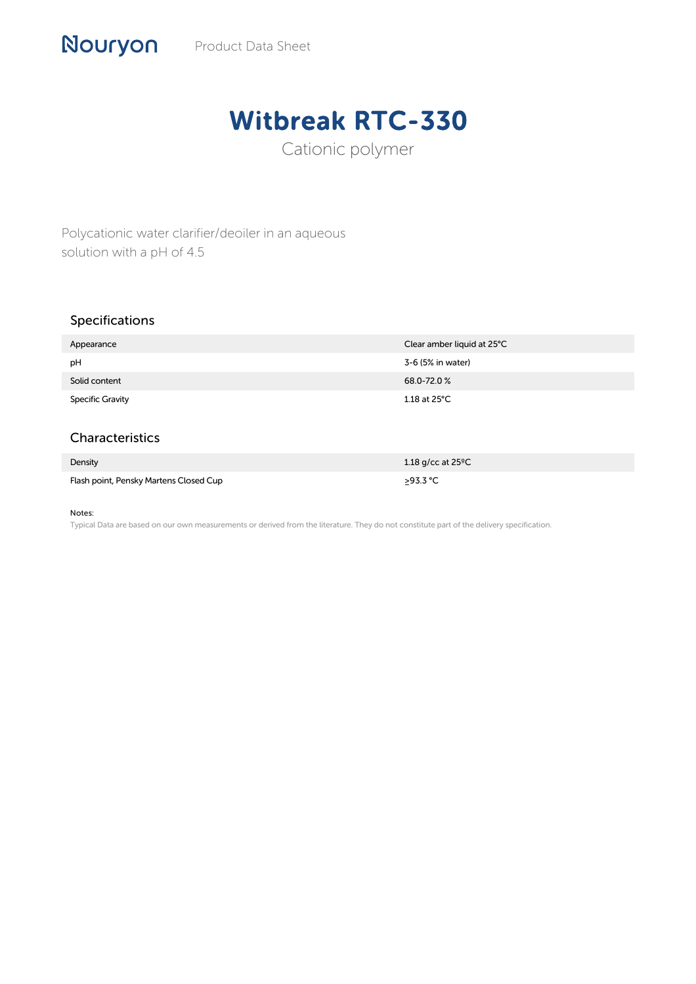## Witbreak RTC-330

Cationic polymer

Polycationic water clarifier/deoiler in an aqueous solution with a pH of 4.5

## Specifications

Nouryon

| Appearance              | Clear amber liquid at 25°C |
|-------------------------|----------------------------|
| pH                      | 3-6 (5% in water)          |
| Solid content           | 68.0-72.0%                 |
| <b>Specific Gravity</b> | $1.18$ at 25°C             |

## Characteristics

| Density                                | 1.18 g/cc at $25^{\circ}$ C |
|----------------------------------------|-----------------------------|
| Flash point, Pensky Martens Closed Cup | $>93.3$ °C                  |

## Notes:

Typical Data are based on our own measurements or derived from the literature. They do not constitute part of the delivery specification.